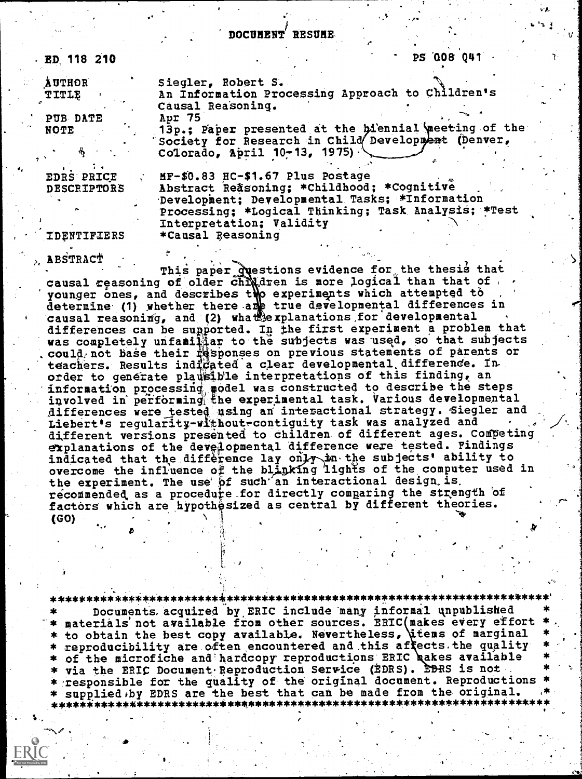**AUTHOR** TITLE

PUB DATE **NOTE** 

Siegler, Robert S. An Information Processing Approach to Children's Causal Reasoning. Apr 75

PS 008 041

13p.; Paper presented at the biennial meeting of the<br>Society for Research in Child Development (Denver, Colorado, April  $10-13$ , 1975)

EDRS PRICE DESCRIPTORS

MF-\$0.83 HC-\$1.67 Plus Postage Abstract Reasoning; \*Childhood; \*Cognitive Development; Developmental Tasks; \*Information Processing; \*Logical Thinking; Task Analysis; \*Test Interpretation; Validity \*Causal Reasoning

IDENTIFIERS

**ABSTRACT** 

This paper questions evidence for the thesis that<br>causal reasoning of older children is more logical than that of<br>younger ones, and describes the experiments which attempted to<br>determine (1) whether there are true developm differences can be supported. In the first experiment a problem that was completely unfamiliar to the subjects was used, so that subjects could not base their responses on previous statements of parents or teachers. Results indigated a clear developmental difference. In order to generate plausible interpretations of this finding, an information processing model was constructed to describe the steps<br>involved in performing the experimental task. Various developmental differences were tested using an interactional strategy. Siegler and Liebert's regularity-without-contiguity task was analyzed and different versions presented to children of different ages. Competing explanations of the developmental difference were tested. Findings indicated that the difference lay only in the subjects' ability to overcome the influence of the blinking lights of the computer used in the experiment. The use of such an interactional design is. recommended as a procedure for directly comparing the strength of factors which are hypothesized as central by different theories. (GO)

Documents acquired by ERIC include many informal unpublished materials' not available from other sources. ERIC(makes every effort \* to obtain the best copy available. Nevertheless, dtems of marginal \* reproducibility are often encountered and this affects the quality \* of the microfiche and hardcopy reproductions ERIC bakes available via the ERIC Document Reproduction Service (EDRS). EDRS is not \* responsible for the quality of the original document. Reproductions supplied by EDRS are the best that can be made from the original.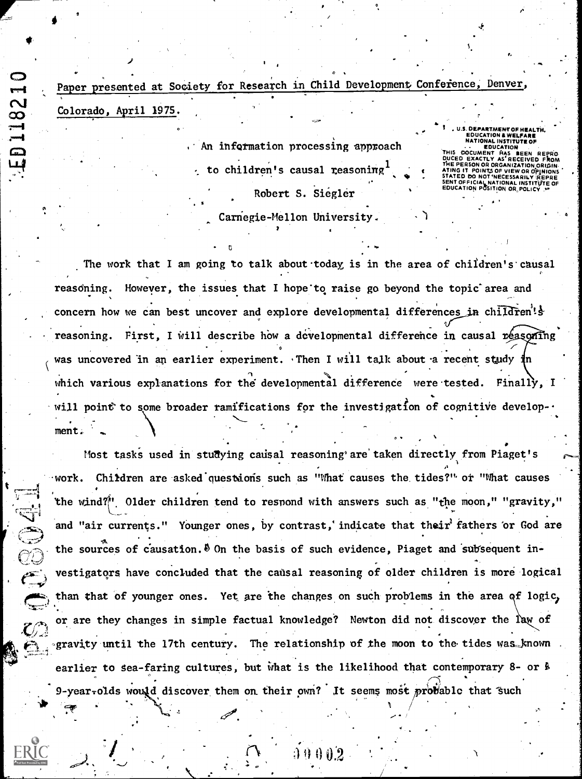Paper presented at Society for Research in Child Development Conference, Denver, Colorado, April 1975.

**ED11821** 

**Contract** 

. An information processing approach to children's causal reasoning Robert S. Siegler Carnegie-Mellon University.

EDUCATION & WELFARE<br>NATIONAL INSTITUTE OF

THIS DOCUMENT HAS BEEN FOUCATION PERSON OR ORGANIZATION ORIGI **ATING IT POINTS OF VIEW OR OPINIONS<br>STATED DO NOT NECESSARILY REPRESSARITY FOR A SENT OF FICIAL NATIONAL INSTITUTE OF<br>EDUCATION POSITION OR POLICY P** 

The work that I am going to talk about today is in the area of children's causal reasoning. However, the issues that I hope to raise go beyond the topic area and concern how we can best uncover and explore developmental differences in children's reasoning. First, I will describe how a developmental difference in causal reasoning was uncovered in an earlier experiment. Then I will talk about a recent study in which various explanations for the developmental difference were tested. Finally, I will point to some broader ramifications for the investigation of cognitive develop $ment.$ 

Most tasks used in studying causal reasoning are taken directly from Piaget's work. Children are asked questions such as "What causes the tides?" or "What causes the wind?" Older children tend to respond with answers such as "the moon," "gravity," and "air currents." Younger ones, by contrast, indicate that their fathers or God are the sources of causation.  $\delta$  On the basis of such evidence, Piaget and subsequent investigators have concluded that the causal reasoning of older children is more logical than that of younger ones. Yet are the changes on such problems in the area of logic, or are they changes in simple factual knowledge? Newton did not discover the law of gravity until the 17th century. The relationship of the moon to the tides was known earlier to sea-faring cultures, but what is the likelihood that contemporary 8- or  $\frac{1}{2}$ 9-year-olds would discover them on their own? It seems most probable that such

00002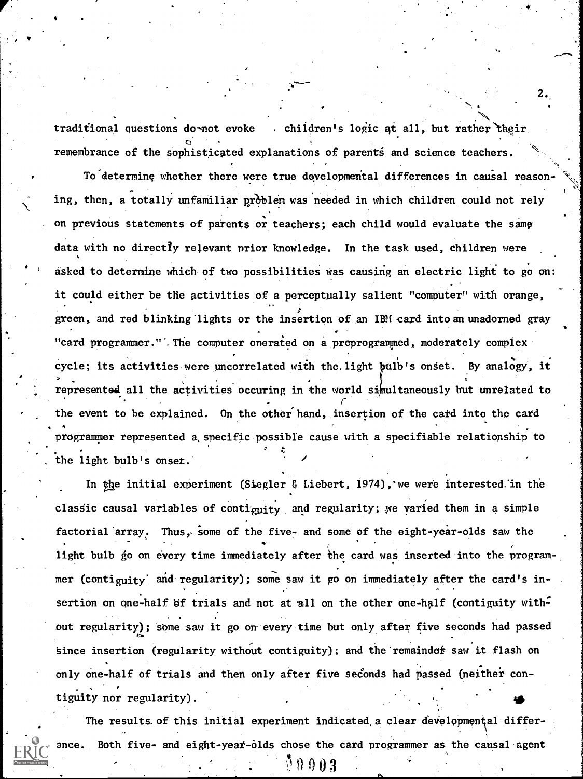traditional questions do not evoke children's logic at all, but rather their remembrance of the sophisticated explanations of parents and science teachers.

2..

**.** 

To determine whether there were true developmental differences in causal reason- $\sigma$  . The same  $\sigma$ ing, then, a totally unfamiliar problem was needed in which children could not rely on previous statements of parents or teachers; each child would evaluate the same data with no directly relevant prior knowledge. In the task used, children were asked to determine which of two possibilities was causing an electric light to go on: it could either be the activities of a perceptually salient "computer" with orange, green, and red blinking lights or the insertion of an IBM card into an unadorned gray "card programmer.". The computer onerated on a preprogrammed, moderately complex cycle; its activities were uncorrelated with the light bulb's onset. By analogy, it represented all the activities occuring in the world simultaneously but unrelated to the event to be explained. On the other hand, insertion of the card into the card  $\bullet$   $\bullet$ programmer represented a specific possible cause with a specifiable relationship to p<sub>r</sub> the light bulb's onset.

In the initial experiment (Siegler & Liebert, 1974), we were interested in the classic causal variables of contiguity and regularity; we varied them in a simple factorial array. Thus, some of the five- and some of the eight-year-olds saw the light bulb go on every time immediately after the card was inserted into the programmer (contiguity) and regularity); some saw it go on immediately after the card's insertion on one-half  $\beta f$  trials and not at all on the other one-half (contiguity without regularity); some saw it go on every time but only after five seconds had passed since insertion (regularity without contiguity); and the remainder saw it flash on only one -half of trials and then only after five seconds had passed (neither contiguity nor regularity).

The results. of this initial experiment indicated,a clear developmental differ-Both five- and eight-year-olds chose the card programmer as the causal agent

 $0,0.3$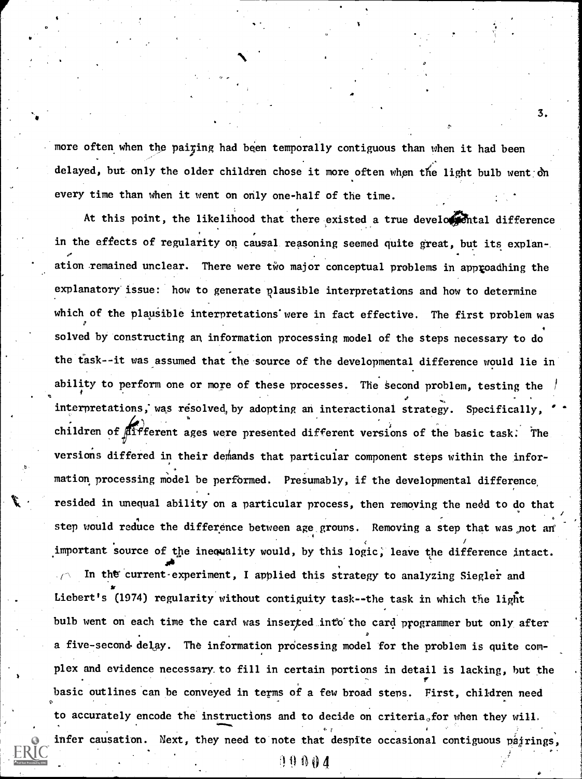more often when the pairing had been temporally contiguous than when it had been delayed, but only the older children chose it more often when the light bulb went on every time than when it went on only one-half of the time.

At this point, the likelihood that there existed a true developental difference in the effects of regularity on causal reasoning seemed quite great, but its explanation remained unclear. There were two major conceptual problems in approadhing the explanatory issue: how to generate plausible interpretations and how to determine which of the plausible interpretations were in fact effective. The first problem was  $\sigma$  and  $\sigma$ solved by constructing an information processing model of the steps necessary to do the task--it was assumed that the source of the developmental difference would lie in ability to perform one or more of these processes. The second problem, testing the . The contract of the contract of the contract of the contract of the contract of the contract of the contract of the contract of the contract of the contract of the contract of the contract of the contract of the contrac interpretations; was resolved, by adopting an interactional strategy. Specifically, . children of  $\widehat{\beta}$ ffferent ages were presented different versions of the basic task. The versions differed in their demands that particular component steps within the information processing model be performed. Presumably, if the developmental difference, resided in unequal ability on a particular process, then removing the need to do that  $\quad$ step would reduce the difference between age grouns. Removing a step that was not an  $\qquad$ important source of the inequality would, by this logic, leave the difference intact. In the current-experiment, I applied this strategy to analyzing Siegler and

Liebert's (1974) regularity without contiguity task--the task in which the light bulb went on each time the card was inserted into the card programmer but only after a five-second-delay. The information processing model for the problem is quite complex and evidence necessary to fill in certain portions in detail is lacking, but the basic outlines can be conveyed in terms of a few broad steps. First, children need to accurately encode the instructions and to decide on criteria for when they will.  $\sim$  and  $\sim$   $\sim$   $\sim$   $\sim$ infer causation. Next, they need to note that despite occasional contiguous pairings,

 $1004$ 

3.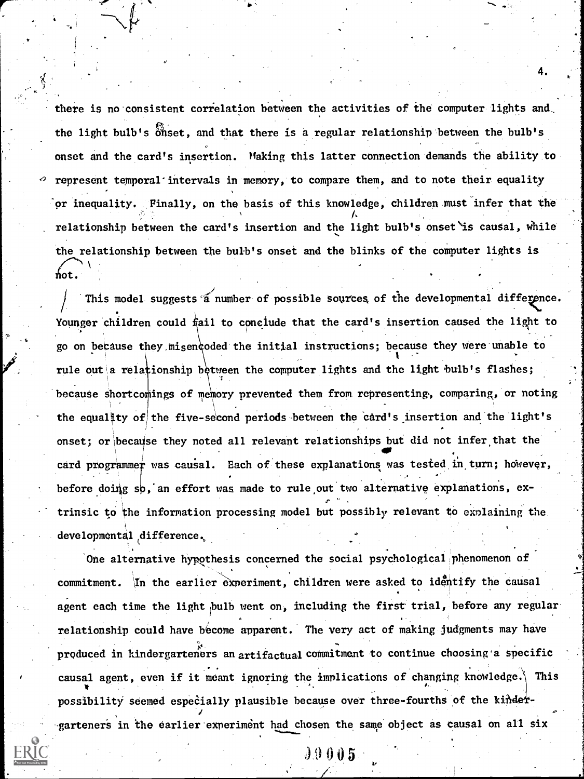there is no consistent correlation between the activities of the computer lights and, the light bulb's onset, and that there is a regular relationship between the bulb's onset and the card's insertion. Making this latter connection demands the ability to represent temporal'intervals in memory, to compare them, and to note their equality or inequality. Finally, on the basis of this knowledge, children must infer that the relationship between the card's insertion and the light bulb's onset is causal, while the relationship between the bulb's onset and the blinks of the computer lights is  $\hbox{\tt hot}$  .

4.

i also on because they misen coded the initial instructions; because they were unable to  $\frac{1}{2}$ This model suggests  $\widetilde{a}$  number of possible sources, of the developmental difference. Younger children could fail to conclude that the card's insertion caused the light to rule out a relationship between the computer lights and the light bulb's flashes; because shortcomings of memory prevented them from representing, comparing, or noting 1 the equality of the five-second periods between the card's insertion and the light's onset; or because they noted all relevant relationships but did not infer that the card programmer was causal. Each of these explanations was tested in turn; however, before doing sp, an effort was made to rule out two alternative explanations, ex- $\sigma$ ,  $\sigma$ ,  $\sigma$ ,  $\sigma$ ,  $\sigma$ ,  $\sigma$ ,  $\sigma$ ,  $\sigma$ ,  $\sigma$ ,  $\sigma$ ,  $\sigma$ ,  $\sigma$ ,  $\sigma$ ,  $\sigma$ ,  $\sigma$ ,  $\sigma$ ,  $\sigma$ ,  $\sigma$ ,  $\sigma$ ,  $\sigma$ ,  $\sigma$ ,  $\sigma$ ,  $\sigma$ ,  $\sigma$ ,  $\sigma$ ,  $\sigma$ ,  $\sigma$ ,  $\sigma$ ,  $\sigma$ ,  $\sigma$ ,  $\sigma$ ,  $\sigma$ ,  $\sigma$ ,  $\sigma$ ,  $\sigma$ ,  $\sigma$ ,  $\sigma$ , trinsic to the information processing model but possibly relevant to explaining the developmental difference.

One alternative hypothesis concerned the social psychological phenomenon of commitment. In the earlier experiment, children were asked to identify the causal agent each time the light bulb went on, including the first trial, before any regular relationship could have become apparent. The very act of making judgments may have produced in kindergarteners an artifactual commitment to continue choosing a specific . .causal agent, even if it meant ignoring the implications of changing knowledge. This possibility seemed especially plausible because over three-fourths of the kindergarteners in the earlier experiment had chosen the same object as causal on all six

J9005

,7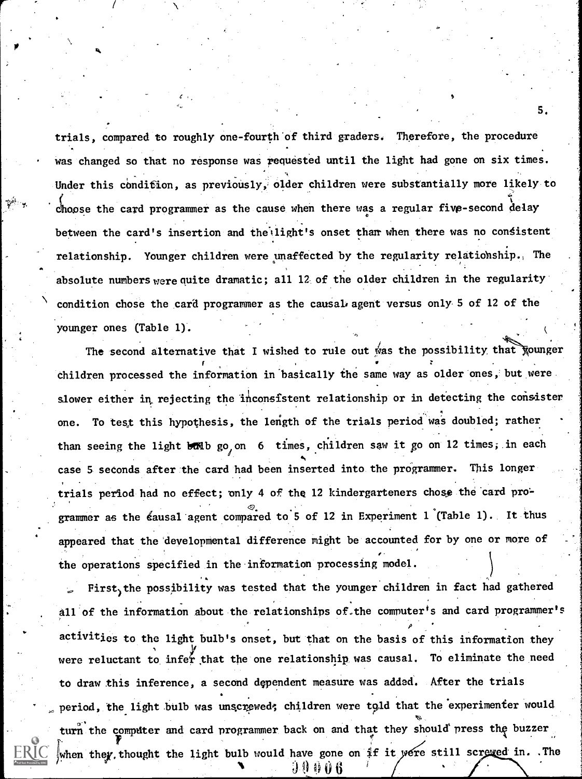trials, compared to roughly one-fourth of third graders. Therefore, the procedure was changed so that no response was requested until the light had gone on six times. Under this condition, as previously, older children were substantially more likely to choose the card programmer as the cause when there was a regular five-second delay between the card's insertion and the light's onset than when there was no consistent relationship. Younger children were unaffected by the regularity relatiohship. The absolute numbers were quite dramatic; all  $12$  of the older children in the regularity condition chose the card programmer as the causal agent versus only 5 of 12 of the younger ones (Table 1).

5.

ranger i Santana.<br>References

..

The second alternative that I wished to rule out was the possibility that *Nounger* children processed the information in basically the same way as older ones, but were slower either in rejecting the inconsistent relationship or in detecting the consister one. To test this hypothesis, the length of the trials period was doubled; rather than seeing the light bolb go, on 6 times, children saw it go on 12 times, in each case 5 seconds after the card had been inserted into the programmer. This longer trials period had no effect; pnly 4 of the 12 kindergarteners chose the 'card pro' grammer as the éausal agent compared to 5 of 12 in Experiment l (Table 1). It thus appeared that the developmental difference might be accounted for by one or more of the operations specified in the information processing model.

First<sub>)</sub>the possibility was tested that the younger children in fact had gathered  $\blacksquare$ all of the information about the relationships of the computer's and card programmer's  $\rho$  . The contract of the contract of the contract of the contract of the contract of the contract of the contract of the contract of the contract of the contract of the contract of the contract of the contract of the co activities to the light bulb's onset, but that on the basis of this information they were reluctant to infer that the one relationship was causal. To eliminate the need to draw this inference, a second dependent measure was added. After the trials period, the light bulb was unscrewed; children were told that the experimenter would turn the computer and card programmer back on and that they should press the buzzer when they, thought the light bulb would have gone on if it were still screved in. .The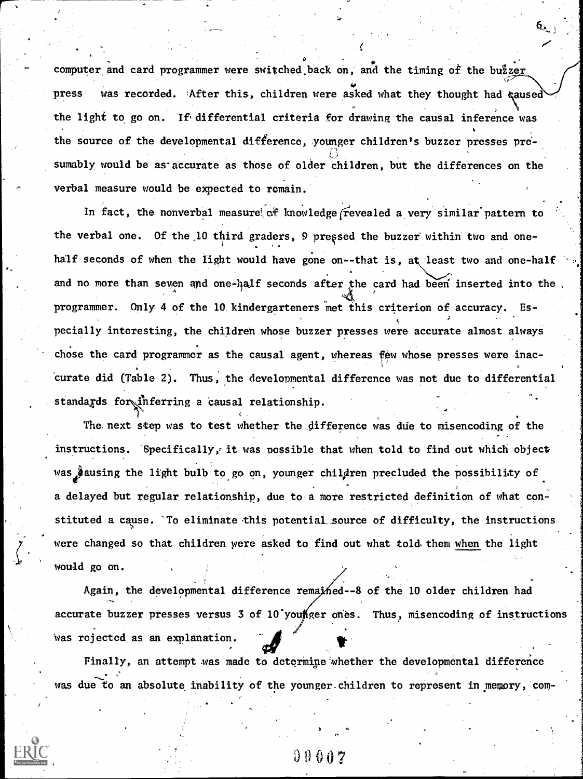computer and card programmer were switched back on, and the timing of the buzzer press was recorded. After this, children were asked what they thought had gaused the light to go on. If differential criteria for drawing the causal inference was the source of the developmental difference, younger children's buzzer presses presumably would be as-accurate as those of older children, but the differences on the verbal measure would be expected to remain.

In fact, the nonverbal measure of knowledge revealed a very similar pattern to the verbal one. Of the 10 third graders, 9 pressed the buzzer within two and one-.. half seconds of when the light would have gone on--that is, at least two and one-half and no more than seven and one-half seconds after the card had been inserted into the programmer. Only 4 of the 10. kindergarteners met this criterion of accuracy. Especially interesting, the children whose buzzer presses were accurate almost always chose the card programmer as the causal agent, whereas few whose presses were inaccurate did (Table 2). Thus, the developmental difference was not due to differential standards for inferring a causal relationship.

The next step was to test whether the difference was due to misencoding of the instructions. Specifically, it was possible that when told to find out which object was  $\hat{\mathcal{Y}}$ ausing the light bulb to go on, younger children precluded the possibility of . , a delayed but regular relationship, due to a more restricted definition of what constituted a cause. To eliminate this potential source of difficulty, the instructions were changed so that children were asked to find out what told them when the light would go on.

Again, the developmental difference remained--8 of the 10 older children had accurate buzzer presses versus 3 of 10 younger ones. Thus, misencoding of instructions Was rejected as an explanation. **lt** and a series

Finally, an attempt was made to determine whether the developmental difference was due to an absolute inability of the younger children to represent in memory, com-

i) 0 0 0 7

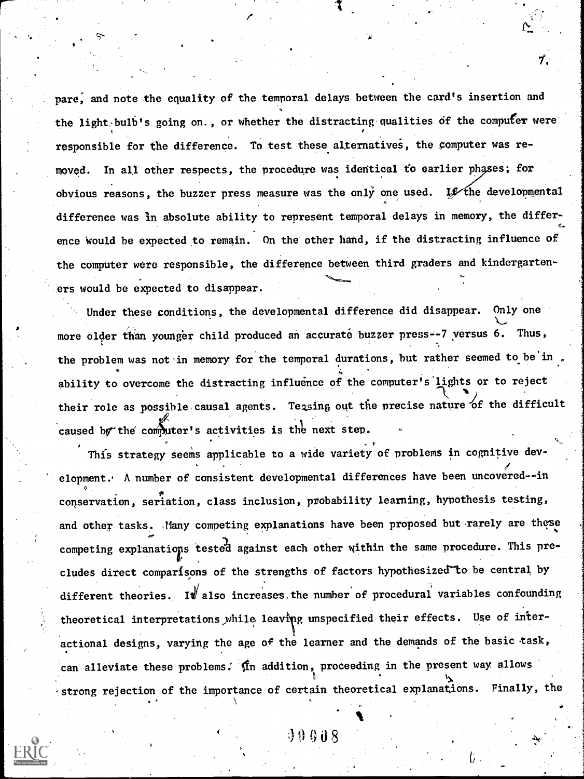pare, and note the equality of the temporal delays between the card's insertion and the light bulb's going on., or whether the distracting qualities of the computer were responsible for the difference. To test these alternatives, the computer was removed. In all other respects, the procedure was identical to earlier phases; for obvious reasons, the buzzer press measure was the only one used. Let the developmental difference was in absolute ability to represent temporal delays in memory, the difference would be expected to remain. On the other hand, if the distracting influence of the computer were responsible, the difference between third graders and kindergarteners would be expected to disappear.

7.

Under these conditions, the developmental difference did disappear. Only one more older than younger child produced an accurate buzzer press--7 versus 6. Thus, the problem was not in memory for the temporal durations, but rather seemed to be in. ability to overcome the distracting influence of the computer's lights or to reject their role as possible causal agents. Teasing out the precise nature of the difficult caused by the computer's activities is the next step.

This strategy seems applicable to a wide variety of problems in cognitive development.. A number of consistent developmental differences have been uncovered--in  $\mathbf{v}_{\perp}$ conservation, seriation, class inclusion, probability learning, hypothesis testing, and other tasks. Many competing explanations have been proposed but rarely are these ) competing explanations tested against each other within the same procedure. This precludes direct comparisons of the strengths of factors hypothesized to be central by different theories. If also increases the number of procedural variables confounding theoretical interpretations while leaving unspecified their effects. Use of interactional designs, varying the age of the learner and the demands of the basic task, can alleviate these problems. In addition, proceeding in the present way allows  $\mathbf{f}(\mathbf{x}) = \mathbf{f}(\mathbf{x})$ . The set of  $\mathbf{f}(\mathbf{x})$  $\epsilon$  strong rejection of the importance of certain theoretical explanations. Finally, the

<sup>4</sup> 0008

 $\bullet$  . The contract of the contract of  $\Lambda$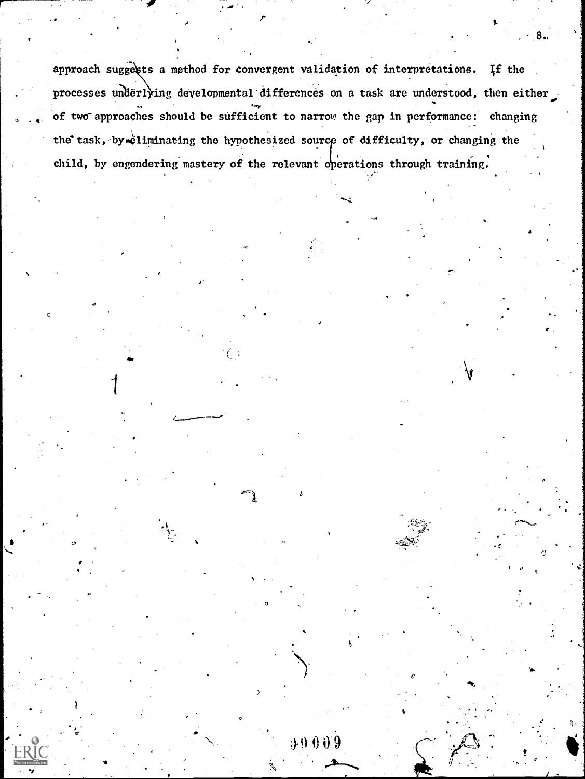approach suggests a method for convergent validation of interpretations. If the processes underlying developmental differences on a task are understood, then either of two approaches should be sufficient to narrow the gap in performance: changing the task, by fliminating the hypothesized source of difficulty, or changing the child, by engendering mastery of the relevant operations through training.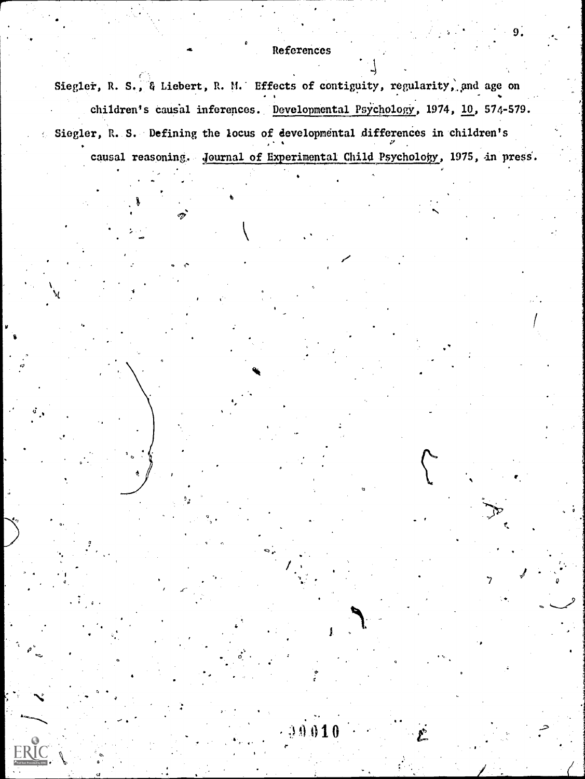## References

9.

'7

Siegler, R. S., & Liebert, R. M. Effects of contiguity, regularity, and age on children's causal inferences. Developmental Psychology, 1974, 10, 574-579. Siegler, R. S. Defining the locus of developmental differences in children's causal reasoning. Journal of Experimental Child Psychology, 1975, in press.

t)

 $\blacktriangledown$ 

4

 $\circ$   $\bullet$   $\circ$ 

.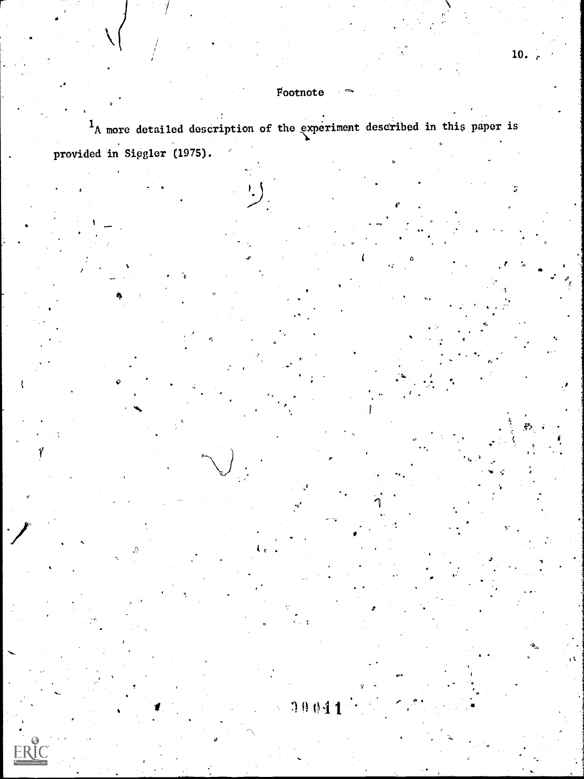## $F_{\text{oothote}}$

10041

 $1_A$  more detailed description of the experiment described in this paper is provided in Siegler (1975).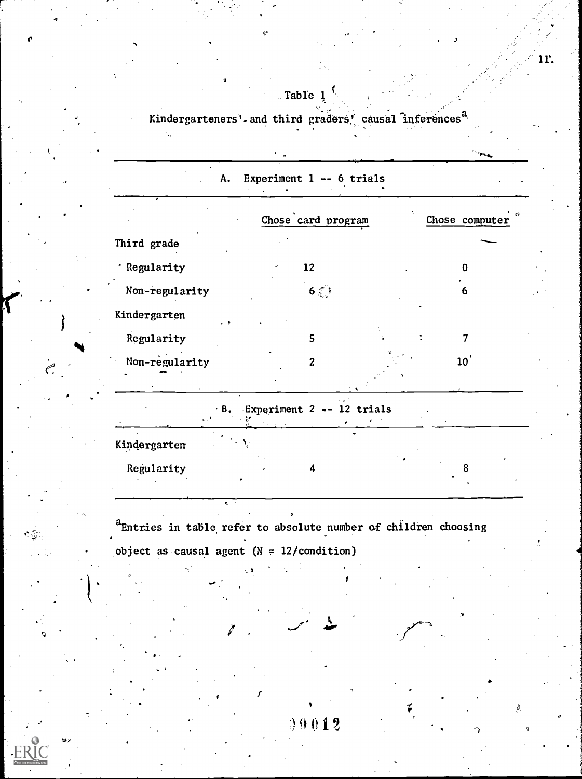## Table 1.

Kindergarteners' and third graders' causal inferences<sup>a</sup>  $\blacksquare$ 

|                                          | Chose card program         |  | Chose computer |  |
|------------------------------------------|----------------------------|--|----------------|--|
| Third grade                              |                            |  |                |  |
| · Regularity                             | 12                         |  | O              |  |
| Non-regularity                           | $6\overset{\sim}{\otimes}$ |  | 6              |  |
| Kindergarten<br>$\overline{\phantom{a}}$ |                            |  |                |  |
| Regularity                               | 5                          |  |                |  |
| Non-regularity                           | $\overline{c}$             |  | $10^{\degree}$ |  |

Kindergarten

Regularity 4

aEntries in table refer to absolute number of children choosing object as causal agent  $(N = 12/condition)$ 

00012

 $I = \{I_1, I_2, \ldots, I_n\}$ 

tx

11.